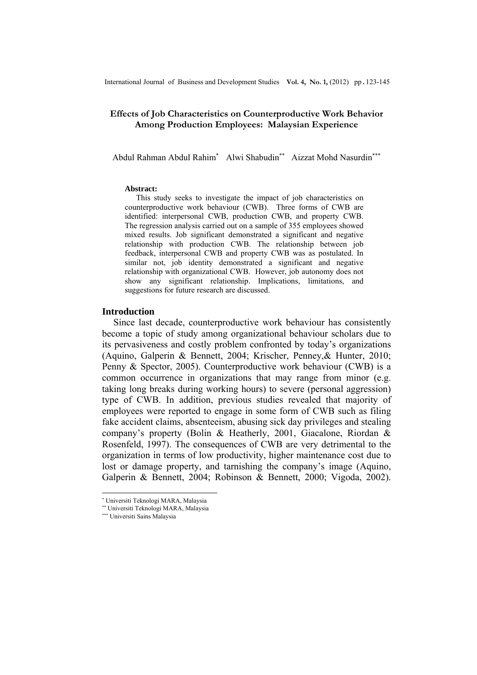# **Effects of Job Characteristics on Counterproductive Work Behavior Among Production Employees: Malaysian Experience**

Abdul Rahman Abdul Rahim<sup>∗</sup> Alwi Shabudin<sup>∗∗</sup> Aizzat Mohd Nasurdin<sup>∗∗∗</sup>

#### **Abstract:**

This study seeks to investigate the impact of job characteristics on counterproductive work behaviour (CWB). Three forms of CWB are identified: interpersonal CWB, production CWB, and property CWB. The regression analysis carried out on a sample of 355 employees showed mixed results. Job significant demonstrated a significant and negative relationship with production CWB. The relationship between job feedback, interpersonal CWB and property CWB was as postulated. In similar not, job identity demonstrated a significant and negative relationship with organizational CWB. However, job autonomy does not show any significant relationship. Implications, limitations, and suggestions for future research are discussed.

# **Introduction**

Since last decade, counterproductive work behaviour has consistently become a topic of study among organizational behaviour scholars due to its pervasiveness and costly problem confronted by today's organizations (Aquino, Galperin & Bennett, 2004; Krischer, Penney,& Hunter, 2010; Penny & Spector, 2005). Counterproductive work behaviour (CWB) is a common occurrence in organizations that may range from minor (e.g. taking long breaks during working hours) to severe (personal aggression) type of CWB. In addition, previous studies revealed that majority of employees were reported to engage in some form of CWB such as filing fake accident claims, absenteeism, abusing sick day privileges and stealing company's property (Bolin & Heatherly, 2001, Giacalone, Riordan & Rosenfeld, 1997). The consequences of CWB are very detrimental to the organization in terms of low productivity, higher maintenance cost due to lost or damage property, and tarnishing the company's image (Aquino, Galperin & Bennett, 2004; Robinson & Bennett, 2000; Vigoda, 2002).

l

<sup>∗</sup> Universiti Teknologi MARA, Malaysia

<sup>∗∗</sup> Universiti Teknologi MARA, Malaysia

<sup>∗∗∗</sup> Universiti Sains Malaysia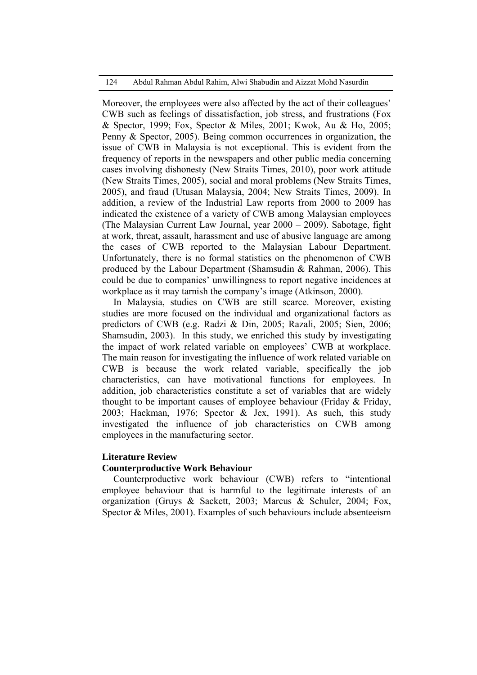#### 124 Abdul Rahman Abdul Rahim, Alwi Shabudin and Aizzat Mohd Nasurdin

Moreover, the employees were also affected by the act of their colleagues' CWB such as feelings of dissatisfaction, job stress, and frustrations (Fox & Spector, 1999; Fox, Spector & Miles, 2001; Kwok, Au & Ho, 2005; Penny & Spector, 2005). Being common occurrences in organization, the issue of CWB in Malaysia is not exceptional. This is evident from the frequency of reports in the newspapers and other public media concerning cases involving dishonesty (New Straits Times, 2010), poor work attitude (New Straits Times, 2005), social and moral problems (New Straits Times, 2005), and fraud (Utusan Malaysia, 2004; New Straits Times, 2009). In addition, a review of the Industrial Law reports from 2000 to 2009 has indicated the existence of a variety of CWB among Malaysian employees (The Malaysian Current Law Journal, year 2000 – 2009). Sabotage, fight at work, threat, assault, harassment and use of abusive language are among the cases of CWB reported to the Malaysian Labour Department. Unfortunately, there is no formal statistics on the phenomenon of CWB produced by the Labour Department (Shamsudin & Rahman, 2006). This could be due to companies' unwillingness to report negative incidences at workplace as it may tarnish the company's image (Atkinson, 2000).

In Malaysia, studies on CWB are still scarce. Moreover, existing studies are more focused on the individual and organizational factors as predictors of CWB (e.g. Radzi & Din, 2005; Razali, 2005; Sien, 2006; Shamsudin, 2003). In this study, we enriched this study by investigating the impact of work related variable on employees' CWB at workplace. The main reason for investigating the influence of work related variable on CWB is because the work related variable, specifically the job characteristics, can have motivational functions for employees. In addition, job characteristics constitute a set of variables that are widely thought to be important causes of employee behaviour (Friday & Friday, 2003; Hackman, 1976; Spector & Jex, 1991). As such, this study investigated the influence of job characteristics on CWB among employees in the manufacturing sector.

### **Literature Review**

# **Counterproductive Work Behaviour**

Counterproductive work behaviour (CWB) refers to "intentional employee behaviour that is harmful to the legitimate interests of an organization (Gruys & Sackett, 2003; Marcus & Schuler, 2004; Fox, Spector & Miles, 2001). Examples of such behaviours include absenteeism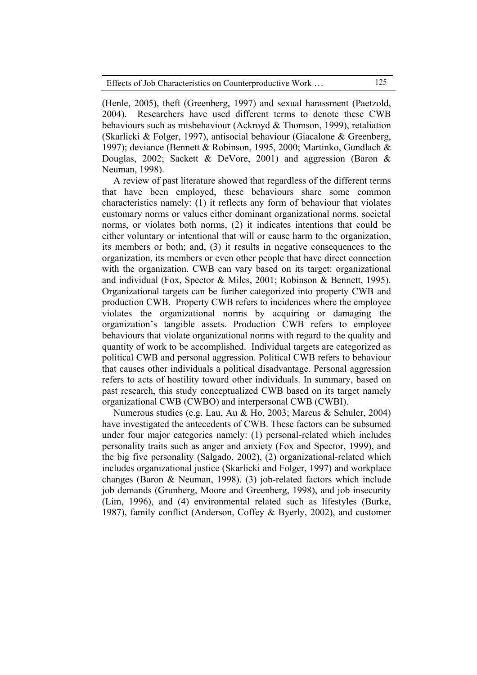(Henle, 2005), theft (Greenberg, 1997) and sexual harassment (Paetzold, 2004). Researchers have used different terms to denote these CWB behaviours such as misbehaviour (Ackroyd & Thomson, 1999), retaliation (Skarlicki & Folger, 1997), antisocial behaviour (Giacalone & Greenberg, 1997); deviance (Bennett & Robinson, 1995, 2000; Martinko, Gundlach & Douglas, 2002; Sackett & DeVore, 2001) and aggression (Baron & Neuman, 1998).

A review of past literature showed that regardless of the different terms that have been employed, these behaviours share some common characteristics namely: (1) it reflects any form of behaviour that violates customary norms or values either dominant organizational norms, societal norms, or violates both norms, (2) it indicates intentions that could be either voluntary or intentional that will or cause harm to the organization, its members or both; and, (3) it results in negative consequences to the organization, its members or even other people that have direct connection with the organization. CWB can vary based on its target: organizational and individual (Fox, Spector & Miles, 2001; Robinson & Bennett, 1995). Organizational targets can be further categorized into property CWB and production CWB. Property CWB refers to incidences where the employee violates the organizational norms by acquiring or damaging the organization's tangible assets. Production CWB refers to employee behaviours that violate organizational norms with regard to the quality and quantity of work to be accomplished. Individual targets are categorized as political CWB and personal aggression. Political CWB refers to behaviour that causes other individuals a political disadvantage. Personal aggression refers to acts of hostility toward other individuals. In summary, based on past research, this study conceptualized CWB based on its target namely organizational CWB (CWBO) and interpersonal CWB (CWBI).

Numerous studies (e.g. Lau, Au & Ho, 2003; Marcus & Schuler, 2004) have investigated the antecedents of CWB. These factors can be subsumed under four major categories namely: (1) personal-related which includes personality traits such as anger and anxiety (Fox and Spector, 1999), and the big five personality (Salgado, 2002), (2) organizational-related which includes organizational justice (Skarlicki and Folger, 1997) and workplace changes (Baron & Neuman, 1998). (3) job-related factors which include job demands (Grunberg, Moore and Greenberg, 1998), and job insecurity (Lim, 1996), and (4) environmental related such as lifestyles (Burke, 1987), family conflict (Anderson, Coffey & Byerly, 2002), and customer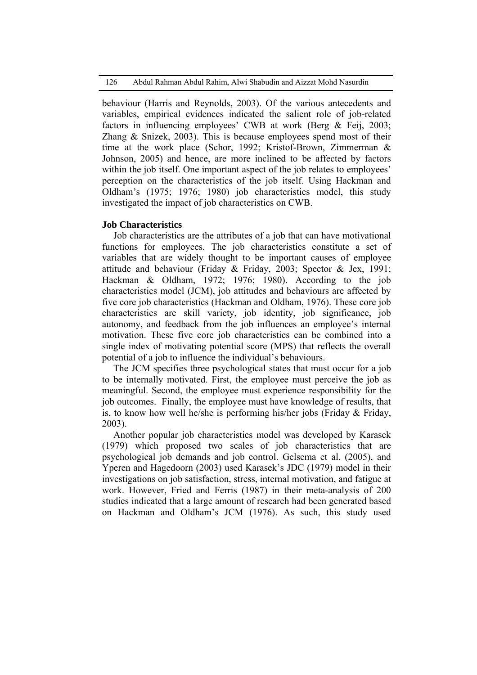126 Abdul Rahman Abdul Rahim, Alwi Shabudin and Aizzat Mohd Nasurdin

behaviour (Harris and Reynolds, 2003). Of the various antecedents and variables, empirical evidences indicated the salient role of job-related factors in influencing employees' CWB at work (Berg & Feij, 2003; Zhang & Snizek, 2003). This is because employees spend most of their time at the work place (Schor, 1992; Kristof-Brown, Zimmerman & Johnson, 2005) and hence, are more inclined to be affected by factors within the job itself. One important aspect of the job relates to employees' perception on the characteristics of the job itself. Using Hackman and Oldham's (1975; 1976; 1980) job characteristics model, this study investigated the impact of job characteristics on CWB.

## **Job Characteristics**

Job characteristics are the attributes of a job that can have motivational functions for employees. The job characteristics constitute a set of variables that are widely thought to be important causes of employee attitude and behaviour (Friday & Friday, 2003; Spector & Jex, 1991; Hackman & Oldham, 1972; 1976; 1980). According to the job characteristics model (JCM), job attitudes and behaviours are affected by five core job characteristics (Hackman and Oldham, 1976). These core job characteristics are skill variety, job identity, job significance, job autonomy, and feedback from the job influences an employee's internal motivation. These five core job characteristics can be combined into a single index of motivating potential score (MPS) that reflects the overall potential of a job to influence the individual's behaviours.

The JCM specifies three psychological states that must occur for a job to be internally motivated. First, the employee must perceive the job as meaningful. Second, the employee must experience responsibility for the job outcomes. Finally, the employee must have knowledge of results, that is, to know how well he/she is performing his/her jobs (Friday & Friday, 2003).

Another popular job characteristics model was developed by Karasek (1979) which proposed two scales of job characteristics that are psychological job demands and job control. Gelsema et al. (2005), and Yperen and Hagedoorn (2003) used Karasek's JDC (1979) model in their investigations on job satisfaction, stress, internal motivation, and fatigue at work. However, Fried and Ferris (1987) in their meta-analysis of 200 studies indicated that a large amount of research had been generated based on Hackman and Oldham's JCM (1976). As such, this study used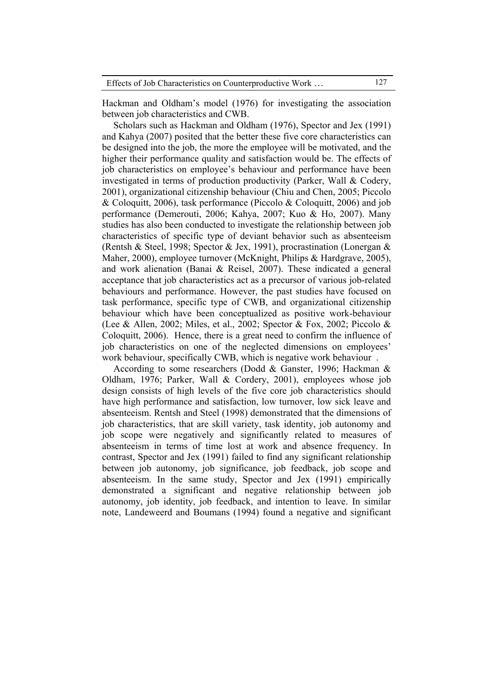Hackman and Oldham's model (1976) for investigating the association between job characteristics and CWB.

Scholars such as Hackman and Oldham (1976), Spector and Jex (1991) and Kahya (2007) posited that the better these five core characteristics can be designed into the job, the more the employee will be motivated, and the higher their performance quality and satisfaction would be. The effects of job characteristics on employee's behaviour and performance have been investigated in terms of production productivity (Parker, Wall & Codery, 2001), organizational citizenship behaviour (Chiu and Chen, 2005; Piccolo & Coloquitt, 2006), task performance (Piccolo & Coloquitt, 2006) and job performance (Demerouti, 2006; Kahya, 2007; Kuo & Ho, 2007). Many studies has also been conducted to investigate the relationship between job characteristics of specific type of deviant behavior such as absenteeism (Rentsh & Steel, 1998; Spector & Jex, 1991), procrastination (Lonergan & Maher, 2000), employee turnover (McKnight, Philips & Hardgrave, 2005), and work alienation (Banai & Reisel, 2007). These indicated a general acceptance that job characteristics act as a precursor of various job-related behaviours and performance. However, the past studies have focused on task performance, specific type of CWB, and organizational citizenship behaviour which have been conceptualized as positive work-behaviour (Lee & Allen, 2002; Miles, et al., 2002; Spector & Fox, 2002; Piccolo & Coloquitt, 2006). Hence, there is a great need to confirm the influence of job characteristics on one of the neglected dimensions on employees' work behaviour, specifically CWB, which is negative work behaviour .

According to some researchers (Dodd & Ganster, 1996; Hackman & Oldham, 1976; Parker, Wall & Cordery, 2001), employees whose job design consists of high levels of the five core job characteristics should have high performance and satisfaction, low turnover, low sick leave and absenteeism. Rentsh and Steel (1998) demonstrated that the dimensions of job characteristics, that are skill variety, task identity, job autonomy and job scope were negatively and significantly related to measures of absenteeism in terms of time lost at work and absence frequency. In contrast, Spector and Jex (1991) failed to find any significant relationship between job autonomy, job significance, job feedback, job scope and absenteeism. In the same study, Spector and Jex (1991) empirically demonstrated a significant and negative relationship between job autonomy, job identity, job feedback, and intention to leave. In similar note, Landeweerd and Boumans (1994) found a negative and significant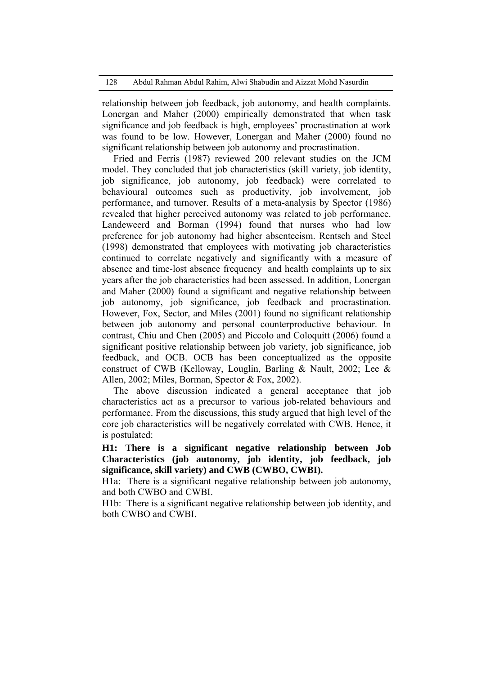relationship between job feedback, job autonomy, and health complaints. Lonergan and Maher (2000) empirically demonstrated that when task significance and job feedback is high, employees' procrastination at work was found to be low. However, Lonergan and Maher (2000) found no significant relationship between job autonomy and procrastination.

Fried and Ferris (1987) reviewed 200 relevant studies on the JCM model. They concluded that job characteristics (skill variety, job identity, job significance, job autonomy, job feedback) were correlated to behavioural outcomes such as productivity, job involvement, job performance, and turnover. Results of a meta-analysis by Spector (1986) revealed that higher perceived autonomy was related to job performance. Landeweerd and Borman (1994) found that nurses who had low preference for job autonomy had higher absenteeism. Rentsch and Steel (1998) demonstrated that employees with motivating job characteristics continued to correlate negatively and significantly with a measure of absence and time-lost absence frequency and health complaints up to six years after the job characteristics had been assessed. In addition, Lonergan and Maher (2000) found a significant and negative relationship between job autonomy, job significance, job feedback and procrastination. However, Fox, Sector, and Miles (2001) found no significant relationship between job autonomy and personal counterproductive behaviour. In contrast, Chiu and Chen (2005) and Piccolo and Coloquitt (2006) found a significant positive relationship between job variety, job significance, job feedback, and OCB. OCB has been conceptualized as the opposite construct of CWB (Kelloway, Louglin, Barling & Nault, 2002; Lee & Allen, 2002; Miles, Borman, Spector & Fox, 2002).

The above discussion indicated a general acceptance that job characteristics act as a precursor to various job-related behaviours and performance. From the discussions, this study argued that high level of the core job characteristics will be negatively correlated with CWB. Hence, it is postulated:

**H1: There is a significant negative relationship between Job Characteristics (job autonomy, job identity, job feedback, job significance, skill variety) and CWB (CWBO, CWBI).** 

H1a: There is a significant negative relationship between job autonomy, and both CWBO and CWBI.

H1b: There is a significant negative relationship between job identity, and both CWBO and CWBI.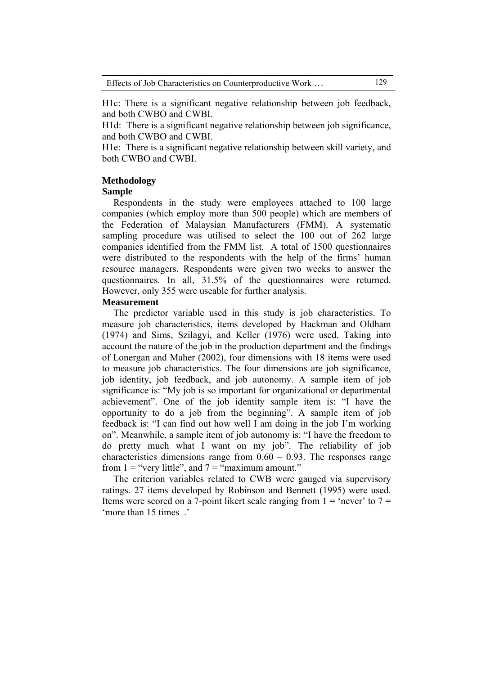H1c: There is a significant negative relationship between job feedback, and both CWBO and CWBI.

H1d: There is a significant negative relationship between job significance, and both CWBO and CWBI.

H1e: There is a significant negative relationship between skill variety, and both CWBO and CWBI.

# **Methodology**

## **Sample**

Respondents in the study were employees attached to 100 large companies (which employ more than 500 people) which are members of the Federation of Malaysian Manufacturers (FMM). A systematic sampling procedure was utilised to select the 100 out of 262 large companies identified from the FMM list. A total of 1500 questionnaires were distributed to the respondents with the help of the firms' human resource managers. Respondents were given two weeks to answer the questionnaires. In all, 31.5% of the questionnaires were returned. However, only 355 were useable for further analysis.

### **Measurement**

The predictor variable used in this study is job characteristics. To measure job characteristics, items developed by Hackman and Oldham (1974) and Sims, Szilagyi, and Keller (1976) were used. Taking into account the nature of the job in the production department and the findings of Lonergan and Maher (2002), four dimensions with 18 items were used to measure job characteristics. The four dimensions are job significance, job identity, job feedback, and job autonomy. A sample item of job significance is: "My job is so important for organizational or departmental achievement". One of the job identity sample item is: "I have the opportunity to do a job from the beginning". A sample item of job feedback is: "I can find out how well I am doing in the job I'm working on". Meanwhile, a sample item of job autonomy is: "I have the freedom to do pretty much what I want on my job". The reliability of job characteristics dimensions range from  $0.60 - 0.93$ . The responses range from  $1 =$  "very little", and  $7 =$  "maximum amount."

The criterion variables related to CWB were gauged via supervisory ratings. 27 items developed by Robinson and Bennett (1995) were used. Items were scored on a 7-point likert scale ranging from  $1 =$  'never' to  $7 =$ 'more than 15 times .'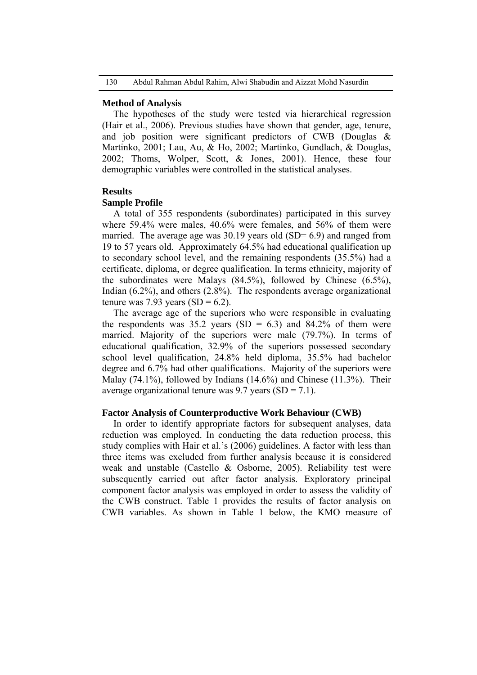#### **Method of Analysis**

The hypotheses of the study were tested via hierarchical regression (Hair et al., 2006). Previous studies have shown that gender, age, tenure, and job position were significant predictors of CWB (Douglas & Martinko, 2001; Lau, Au, & Ho, 2002; Martinko, Gundlach, & Douglas, 2002; Thoms, Wolper, Scott, & Jones, 2001). Hence, these four demographic variables were controlled in the statistical analyses.

### **Results**

#### **Sample Profile**

A total of 355 respondents (subordinates) participated in this survey where 59.4% were males, 40.6% were females, and 56% of them were married. The average age was  $30.19$  years old (SD= 6.9) and ranged from 19 to 57 years old. Approximately 64.5% had educational qualification up to secondary school level, and the remaining respondents (35.5%) had a certificate, diploma, or degree qualification. In terms ethnicity, majority of the subordinates were Malays (84.5%), followed by Chinese (6.5%), Indian (6.2%), and others (2.8%). The respondents average organizational tenure was 7.93 years  $(SD = 6.2)$ .

The average age of the superiors who were responsible in evaluating the respondents was  $35.2$  years (SD = 6.3) and  $84.2\%$  of them were married. Majority of the superiors were male (79.7%). In terms of educational qualification, 32.9% of the superiors possessed secondary school level qualification, 24.8% held diploma, 35.5% had bachelor degree and 6.7% had other qualifications. Majority of the superiors were Malay (74.1%), followed by Indians (14.6%) and Chinese (11.3%). Their average organizational tenure was  $9.7$  years (SD = 7.1).

### **Factor Analysis of Counterproductive Work Behaviour (CWB)**

In order to identify appropriate factors for subsequent analyses, data reduction was employed. In conducting the data reduction process, this study complies with Hair et al.'s (2006) guidelines. A factor with less than three items was excluded from further analysis because it is considered weak and unstable (Castello & Osborne, 2005). Reliability test were subsequently carried out after factor analysis. Exploratory principal component factor analysis was employed in order to assess the validity of the CWB construct. Table 1 provides the results of factor analysis on CWB variables. As shown in Table 1 below, the KMO measure of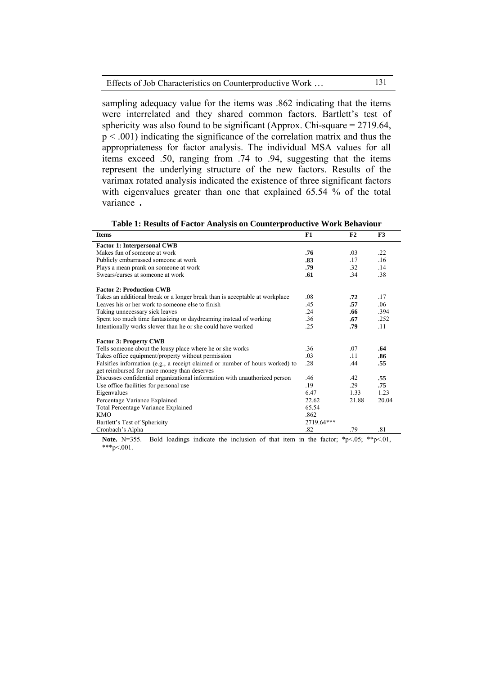| Effects of Job Characteristics on Counterproductive Work | 131 |
|----------------------------------------------------------|-----|
|----------------------------------------------------------|-----|

sampling adequacy value for the items was .862 indicating that the items were interrelated and they shared common factors. Bartlett's test of sphericity was also found to be significant (Approx. Chi-square = 2719.64,  $p < .001$ ) indicating the significance of the correlation matrix and thus the appropriateness for factor analysis. The individual MSA values for all items exceed .50, ranging from .74 to .94, suggesting that the items represent the underlying structure of the new factors. Results of the varimax rotated analysis indicated the existence of three significant factors with eigenvalues greater than one that explained 65.54 % of the total variance **.**

| Table 1: Results of Factor Analysis on Counterproductive work benaviour      |            |       |       |  |  |  |  |
|------------------------------------------------------------------------------|------------|-------|-------|--|--|--|--|
| <b>Items</b>                                                                 | F1         | F2    | F3    |  |  |  |  |
| <b>Factor 1: Interpersonal CWB</b>                                           |            |       |       |  |  |  |  |
| Makes fun of someone at work                                                 | .76        | .03   | .22   |  |  |  |  |
| Publicly embarrassed someone at work                                         | .83        | .17   | .16   |  |  |  |  |
| Plays a mean prank on someone at work                                        | .79        | .32   | .14   |  |  |  |  |
| Swears/curses at someone at work                                             | .61        | .34   | .38   |  |  |  |  |
| <b>Factor 2: Production CWB</b>                                              |            |       |       |  |  |  |  |
| Takes an additional break or a longer break than is acceptable at workplace  | .08        | .72   | .17   |  |  |  |  |
| Leaves his or her work to someone else to finish                             | .45        | .57   | .06   |  |  |  |  |
| Taking unnecessary sick leaves                                               | .24        | .66   | .394  |  |  |  |  |
| Spent too much time fantasizing or daydreaming instead of working            | .36        | .67   | .252  |  |  |  |  |
| Intentionally works slower than he or she could have worked                  | .25        | .79   | .11   |  |  |  |  |
| <b>Factor 3: Property CWB</b>                                                |            |       |       |  |  |  |  |
| Tells someone about the lousy place where he or she works                    | .36        | .07   | .64   |  |  |  |  |
| Takes office equipment/property without permission                           | .03        | .11   | .86   |  |  |  |  |
| Falsifies information (e.g., a receipt claimed or number of hours worked) to | .28        | .44   | .55   |  |  |  |  |
| get reimbursed for more money than deserves                                  |            |       |       |  |  |  |  |
| Discusses confidential organizational information with unauthorized person   | .46        | .42   | .55   |  |  |  |  |
| Use office facilities for personal use                                       | .19        | .29   | .75   |  |  |  |  |
| Eigenvalues                                                                  | 6.47       | 1.33  | 1.23  |  |  |  |  |
| Percentage Variance Explained                                                | 22.62      | 21.88 | 20.04 |  |  |  |  |
| Total Percentage Variance Explained                                          | 65.54      |       |       |  |  |  |  |
| <b>KMO</b>                                                                   | .862       |       |       |  |  |  |  |
| Bartlett's Test of Sphericity                                                | 2719.64*** |       |       |  |  |  |  |
| Cronbach's Alpha                                                             | .82        | .79   | .81   |  |  |  |  |

**Note.** N=355. Bold loadings indicate the inclusion of that item in the factor;  $*p<.05$ ;  $*p<.01$ , \*\*\*p<.001.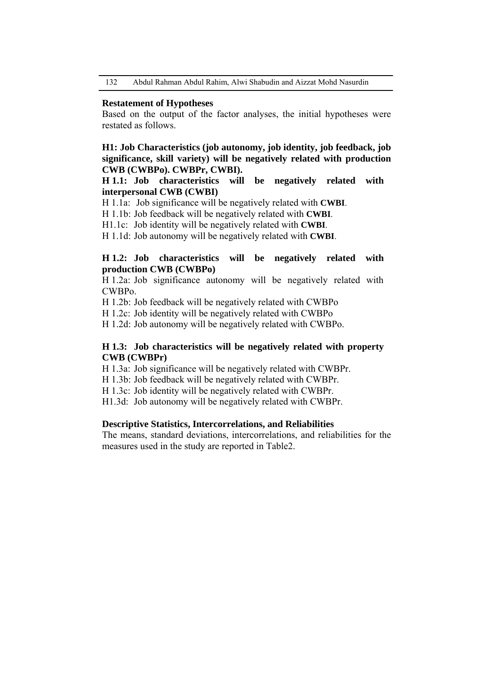132 Abdul Rahman Abdul Rahim, Alwi Shabudin and Aizzat Mohd Nasurdin

## **Restatement of Hypotheses**

Based on the output of the factor analyses, the initial hypotheses were restated as follows.

# **H1: Job Characteristics (job autonomy, job identity, job feedback, job significance, skill variety) will be negatively related with production CWB (CWBPo). CWBPr, CWBI).**

# **H 1.1: Job characteristics will be negatively related with interpersonal CWB (CWBI)**

H 1.1a: Job significance will be negatively related with **CWBI**.

H 1.1b: Job feedback will be negatively related with **CWBI**.

H1.1c: Job identity will be negatively related with **CWBI**.

H 1.1d: Job autonomy will be negatively related with **CWBI**.

# **H 1.2: Job characteristics will be negatively related with production CWB (CWBPo)**

H 1.2a: Job significance autonomy will be negatively related with CWBPo.

H 1.2b: Job feedback will be negatively related with CWBPo

H 1.2c: Job identity will be negatively related with CWBPo

H 1.2d: Job autonomy will be negatively related with CWBPo.

# **H 1.3: Job characteristics will be negatively related with property CWB (CWBPr)**

H 1.3a: Job significance will be negatively related with CWBPr.

H 1.3b: Job feedback will be negatively related with CWBPr.

H 1.3c: Job identity will be negatively related with CWBPr.

H1.3d: Job autonomy will be negatively related with CWBPr.

## **Descriptive Statistics, Intercorrelations, and Reliabilities**

The means, standard deviations, intercorrelations, and reliabilities for the measures used in the study are reported in Table2.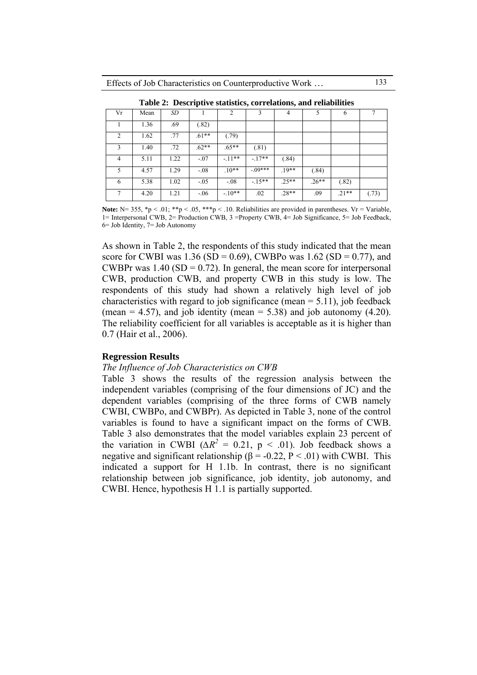| Vr             | Mean | SD   |         |         |            |         |         |         |       |
|----------------|------|------|---------|---------|------------|---------|---------|---------|-------|
|                | 1.36 | .69  | (.82)   |         |            |         |         |         |       |
| $\mathfrak{D}$ | 1.62 | .77  | $.61**$ | (.79)   |            |         |         |         |       |
| 3              | 1.40 | .72  | $.62**$ | $.65**$ | (.81)      |         |         |         |       |
| 4              | 5.11 | 1.22 | $-.07$  | $-11**$ | $-17**$    | (.84)   |         |         |       |
| 5              | 4.57 | 1.29 | $-.08$  | $.10**$ | $-0.09***$ | $.19**$ | (.84)   |         |       |
| 6              | 5.38 | 1.02 | $-.05$  | $-.08$  | $-15**$    | $.25**$ | $.26**$ | (.82)   |       |
|                | 4.20 | 1.21 | $-.06$  | $-10**$ | .02        | $.28**$ | .09     | $.21**$ | (.73) |

**Table 2: Descriptive statistics, correlations, and reliabilities**

**Note:**  $N= 355$ ,  $\mathbf{\hat{p}}$  < .01;  $\mathbf{\hat{p}}$  × .05,  $\mathbf{\hat{p}}$  × .10. Reliabilities are provided in parentheses. Vr = Variable, 1= Interpersonal CWB, 2= Production CWB, 3 =Property CWB, 4= Job Significance, 5= Job Feedback, 6= Job Identity, 7= Job Autonomy

As shown in Table 2, the respondents of this study indicated that the mean score for CWBI was 1.36 (SD = 0.69), CWBPo was 1.62 (SD = 0.77), and CWBPr was  $1.40$  (SD = 0.72). In general, the mean score for interpersonal CWB, production CWB, and property CWB in this study is low. The respondents of this study had shown a relatively high level of job characteristics with regard to job significance (mean  $= 5.11$ ), job feedback (mean  $= 4.57$ ), and job identity (mean  $= 5.38$ ) and job autonomy (4.20). The reliability coefficient for all variables is acceptable as it is higher than 0.7 (Hair et al., 2006).

## **Regression Results**

#### *The Influence of Job Characteristics on CWB*

Table 3 shows the results of the regression analysis between the independent variables (comprising of the four dimensions of JC) and the dependent variables (comprising of the three forms of CWB namely CWBI, CWBPo, and CWBPr). As depicted in Table 3, none of the control variables is found to have a significant impact on the forms of CWB. Table 3 also demonstrates that the model variables explain 23 percent of the variation in CWBI ( $\Delta R^2 = 0.21$ , p < .01). Job feedback shows a negative and significant relationship ( $\beta$  = -0.22, P < .01) with CWBI. This indicated a support for H 1.1b. In contrast, there is no significant relationship between job significance, job identity, job autonomy, and CWBI. Hence, hypothesis H 1.1 is partially supported.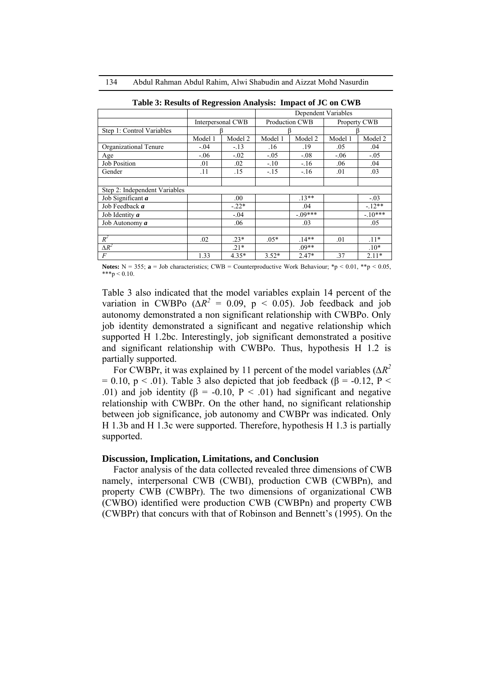|                               |                   | Dependent Variables |         |                |              |          |
|-------------------------------|-------------------|---------------------|---------|----------------|--------------|----------|
|                               | Interpersonal CWB |                     |         | Production CWB | Property CWB |          |
| Step 1: Control Variables     |                   |                     |         |                |              |          |
|                               | Model 1           | Model 2             | Model 1 | Model 2        | Model 1      | Model 2  |
| Organizational Tenure         | $-.04$            | $-.13$              | .16     | .19            | .05          | .04      |
| Age                           | $-.06$            | $-.02$              | $-.05$  | $-.08$         | $-.06$       | $-.05$   |
| <b>Job Position</b>           | .01               | .02                 | $-.10$  | $-.16$         | .06          | .04      |
| Gender                        | .11               | .15                 | $-.15$  | $-16$          | .01          | .03      |
| Step 2: Independent Variables |                   |                     |         |                |              |          |
| Job Significant $a$           |                   | .00.                |         | $.13**$        |              | $-.03$   |
| Job Feedback a                |                   | $-.22*$             |         | .04            |              | $-12**$  |
| Job Identity a                |                   | $-.04$              |         | $-09***$       |              | $-10***$ |
| Job Autonomy a                |                   | .06                 |         | .03            |              | .05      |
| $R^2$                         | .02               | $.23*$              | $.05*$  | $14**$         | .01          | $.11*$   |
| $\Delta R^2$                  |                   | $.21*$              |         | $.09**$        |              | $.10*$   |
| F                             | 1.33              | $4.35*$             | $3.52*$ | $2.47*$        | .37          | $2.11*$  |

**Table 3: Results of Regression Analysis: Impact of JC on CWB**

**Notes:** N = 355; **a** = Job characteristics; CWB = Counterproductive Work Behaviour;  $*$ p < 0.01,  $*$  $*$ p < 0.05,  $***p < 0.10$ .

Table 3 also indicated that the model variables explain 14 percent of the variation in CWBPo ( $\Delta R^2 = 0.09$ , p < 0.05). Job feedback and job autonomy demonstrated a non significant relationship with CWBPo. Only job identity demonstrated a significant and negative relationship which supported H 1.2bc. Interestingly, job significant demonstrated a positive and significant relationship with CWBPo. Thus, hypothesis H 1.2 is partially supported.

For CWBPr, it was explained by 11 percent of the model variables (*∆R2*  $= 0.10$ , p < .01). Table 3 also depicted that job feedback ( $\beta = -0.12$ , P < .01) and job identity ( $\beta$  = -0.10, P < .01) had significant and negative relationship with CWBPr. On the other hand, no significant relationship between job significance, job autonomy and CWBPr was indicated. Only H 1.3b and H 1.3c were supported. Therefore, hypothesis H 1.3 is partially supported.

#### **Discussion, Implication, Limitations, and Conclusion**

Factor analysis of the data collected revealed three dimensions of CWB namely, interpersonal CWB (CWBI), production CWB (CWBPn), and property CWB (CWBPr). The two dimensions of organizational CWB (CWBO) identified were production CWB (CWBPn) and property CWB (CWBPr) that concurs with that of Robinson and Bennett's (1995). On the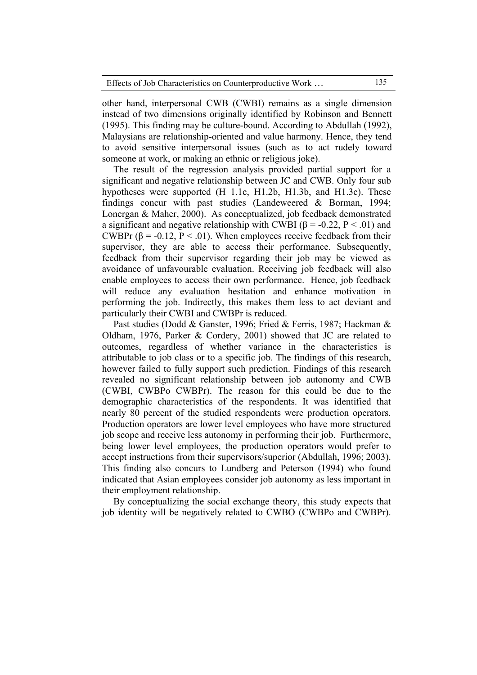other hand, interpersonal CWB (CWBI) remains as a single dimension instead of two dimensions originally identified by Robinson and Bennett (1995). This finding may be culture-bound. According to Abdullah (1992), Malaysians are relationship-oriented and value harmony. Hence, they tend to avoid sensitive interpersonal issues (such as to act rudely toward someone at work, or making an ethnic or religious joke).

The result of the regression analysis provided partial support for a significant and negative relationship between JC and CWB. Only four sub hypotheses were supported (H 1.1c, H1.2b, H1.3b, and H1.3c). These findings concur with past studies (Landeweered & Borman, 1994; Lonergan & Maher, 2000). As conceptualized, job feedback demonstrated a significant and negative relationship with CWBI ( $\beta$  = -0.22, P < .01) and CWBPr ( $\beta$  = -0.12, P < .01). When employees receive feedback from their supervisor, they are able to access their performance. Subsequently, feedback from their supervisor regarding their job may be viewed as avoidance of unfavourable evaluation. Receiving job feedback will also enable employees to access their own performance. Hence, job feedback will reduce any evaluation hesitation and enhance motivation in performing the job. Indirectly, this makes them less to act deviant and particularly their CWBI and CWBPr is reduced.

Past studies (Dodd & Ganster, 1996; Fried & Ferris, 1987; Hackman & Oldham, 1976, Parker & Cordery, 2001) showed that JC are related to outcomes, regardless of whether variance in the characteristics is attributable to job class or to a specific job. The findings of this research, however failed to fully support such prediction. Findings of this research revealed no significant relationship between job autonomy and CWB (CWBI, CWBPo CWBPr). The reason for this could be due to the demographic characteristics of the respondents. It was identified that nearly 80 percent of the studied respondents were production operators. Production operators are lower level employees who have more structured job scope and receive less autonomy in performing their job. Furthermore, being lower level employees, the production operators would prefer to accept instructions from their supervisors/superior (Abdullah, 1996; 2003). This finding also concurs to Lundberg and Peterson (1994) who found indicated that Asian employees consider job autonomy as less important in their employment relationship.

By conceptualizing the social exchange theory, this study expects that job identity will be negatively related to CWBO (CWBPo and CWBPr).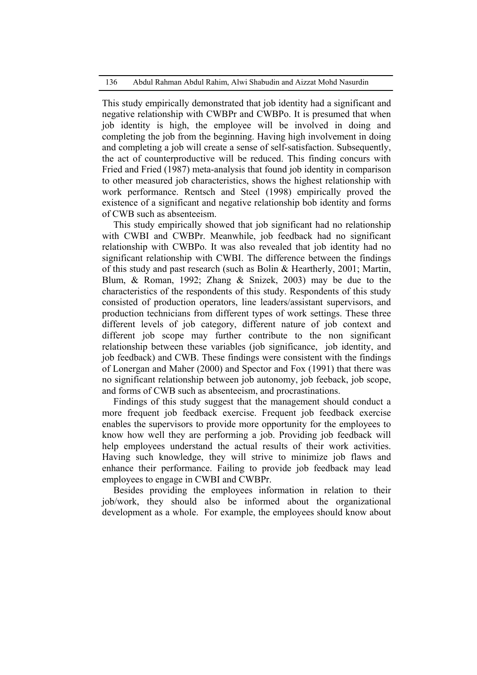This study empirically demonstrated that job identity had a significant and negative relationship with CWBPr and CWBPo. It is presumed that when job identity is high, the employee will be involved in doing and completing the job from the beginning. Having high involvement in doing and completing a job will create a sense of self-satisfaction. Subsequently, the act of counterproductive will be reduced. This finding concurs with Fried and Fried (1987) meta-analysis that found job identity in comparison to other measured job characteristics, shows the highest relationship with work performance. Rentsch and Steel (1998) empirically proved the existence of a significant and negative relationship bob identity and forms of CWB such as absenteeism.

This study empirically showed that job significant had no relationship with CWBI and CWBPr. Meanwhile, job feedback had no significant relationship with CWBPo. It was also revealed that job identity had no significant relationship with CWBI. The difference between the findings of this study and past research (such as Bolin & Heartherly, 2001; Martin, Blum, & Roman, 1992; Zhang & Snizek, 2003) may be due to the characteristics of the respondents of this study. Respondents of this study consisted of production operators, line leaders/assistant supervisors, and production technicians from different types of work settings. These three different levels of job category, different nature of job context and different job scope may further contribute to the non significant relationship between these variables (job significance, job identity, and job feedback) and CWB. These findings were consistent with the findings of Lonergan and Maher (2000) and Spector and Fox (1991) that there was no significant relationship between job autonomy, job feeback, job scope, and forms of CWB such as absenteeism, and procrastinations.

Findings of this study suggest that the management should conduct a more frequent job feedback exercise. Frequent job feedback exercise enables the supervisors to provide more opportunity for the employees to know how well they are performing a job. Providing job feedback will help employees understand the actual results of their work activities. Having such knowledge, they will strive to minimize job flaws and enhance their performance. Failing to provide job feedback may lead employees to engage in CWBI and CWBPr.

Besides providing the employees information in relation to their job/work, they should also be informed about the organizational development as a whole. For example, the employees should know about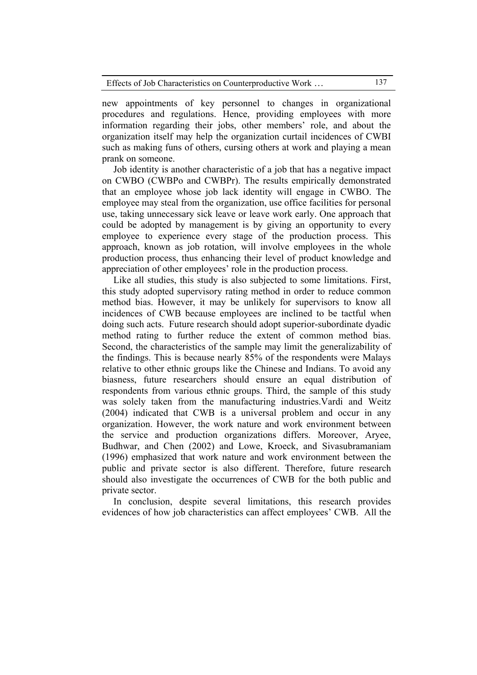| Effects of Job Characteristics on Counterproductive Work | 137 |
|----------------------------------------------------------|-----|
|----------------------------------------------------------|-----|

new appointments of key personnel to changes in organizational procedures and regulations. Hence, providing employees with more information regarding their jobs, other members' role, and about the organization itself may help the organization curtail incidences of CWBI such as making funs of others, cursing others at work and playing a mean prank on someone.

Job identity is another characteristic of a job that has a negative impact on CWBO (CWBPo and CWBPr). The results empirically demonstrated that an employee whose job lack identity will engage in CWBO. The employee may steal from the organization, use office facilities for personal use, taking unnecessary sick leave or leave work early. One approach that could be adopted by management is by giving an opportunity to every employee to experience every stage of the production process. This approach, known as job rotation, will involve employees in the whole production process, thus enhancing their level of product knowledge and appreciation of other employees' role in the production process.

Like all studies, this study is also subjected to some limitations. First, this study adopted supervisory rating method in order to reduce common method bias. However, it may be unlikely for supervisors to know all incidences of CWB because employees are inclined to be tactful when doing such acts. Future research should adopt superior-subordinate dyadic method rating to further reduce the extent of common method bias. Second, the characteristics of the sample may limit the generalizability of the findings. This is because nearly 85% of the respondents were Malays relative to other ethnic groups like the Chinese and Indians. To avoid any biasness, future researchers should ensure an equal distribution of respondents from various ethnic groups. Third, the sample of this study was solely taken from the manufacturing industries.Vardi and Weitz (2004) indicated that CWB is a universal problem and occur in any organization. However, the work nature and work environment between the service and production organizations differs. Moreover, Aryee, Budhwar, and Chen (2002) and Lowe, Kroeck, and Sivasubramaniam (1996) emphasized that work nature and work environment between the public and private sector is also different. Therefore, future research should also investigate the occurrences of CWB for the both public and private sector.

In conclusion, despite several limitations, this research provides evidences of how job characteristics can affect employees' CWB. All the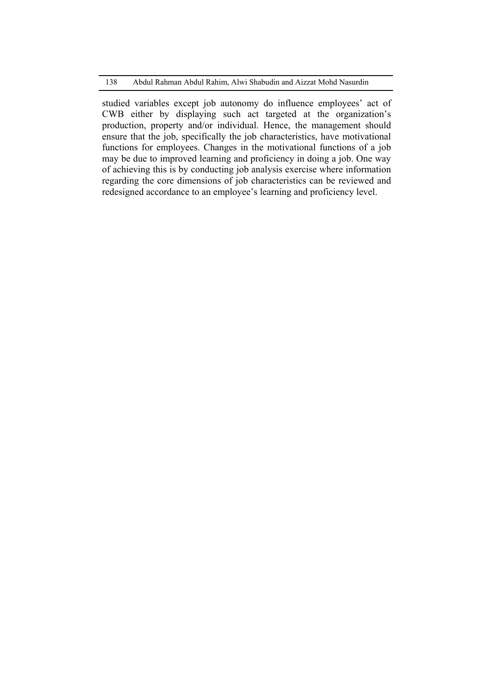studied variables except job autonomy do influence employees' act of CWB either by displaying such act targeted at the organization's production, property and/or individual. Hence, the management should ensure that the job, specifically the job characteristics, have motivational functions for employees. Changes in the motivational functions of a job may be due to improved learning and proficiency in doing a job. One way of achieving this is by conducting job analysis exercise where information regarding the core dimensions of job characteristics can be reviewed and redesigned accordance to an employee's learning and proficiency level.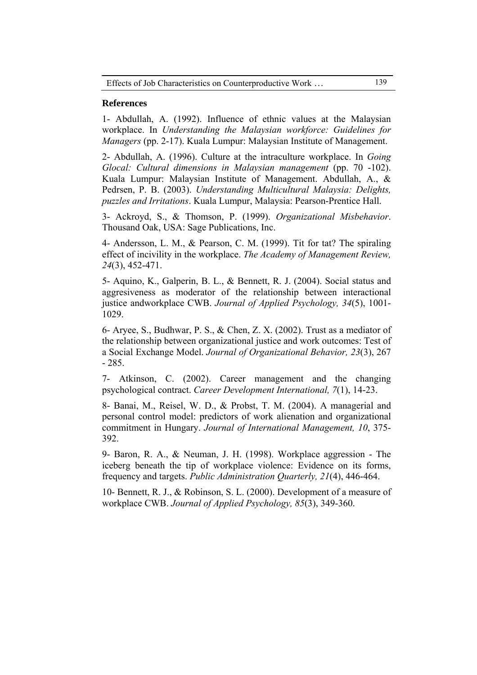## **References**

1- Abdullah, A. (1992). Influence of ethnic values at the Malaysian workplace. In *Understanding the Malaysian workforce: Guidelines for Managers* (pp. 2-17). Kuala Lumpur: Malaysian Institute of Management.

2- Abdullah, A. (1996). Culture at the intraculture workplace. In *Going Glocal: Cultural dimensions in Malaysian management* (pp. 70 -102). Kuala Lumpur: Malaysian Institute of Management. Abdullah, A., & Pedrsen, P. B. (2003). *Understanding Multicultural Malaysia: Delights, puzzles and Irritations*. Kuala Lumpur, Malaysia: Pearson-Prentice Hall.

3- Ackroyd, S., & Thomson, P. (1999). *Organizational Misbehavior*. Thousand Oak, USA: Sage Publications, Inc.

4- Andersson, L. M., & Pearson, C. M. (1999). Tit for tat? The spiraling effect of incivility in the workplace. *The Academy of Management Review, 24*(3), 452-471.

5- Aquino, K., Galperin, B. L., & Bennett, R. J. (2004). Social status and aggresiveness as moderator of the relationship between interactional justice andworkplace CWB. *Journal of Applied Psychology, 34*(5), 1001- 1029.

6- Aryee, S., Budhwar, P. S., & Chen, Z. X. (2002). Trust as a mediator of the relationship between organizational justice and work outcomes: Test of a Social Exchange Model. *Journal of Organizational Behavior, 23*(3), 267 - 285.

7- Atkinson, C. (2002). Career management and the changing psychological contract. *Career Development International, 7*(1), 14-23.

8- Banai, M., Reisel, W. D., & Probst, T. M. (2004). A managerial and personal control model: predictors of work alienation and organizational commitment in Hungary. *Journal of International Management, 10*, 375- 392.

9- Baron, R. A., & Neuman, J. H. (1998). Workplace aggression - The iceberg beneath the tip of workplace violence: Evidence on its forms, frequency and targets. *Public Administration Quarterly, 21*(4), 446-464.

10- Bennett, R. J., & Robinson, S. L. (2000). Development of a measure of workplace CWB. *Journal of Applied Psychology, 85*(3), 349-360.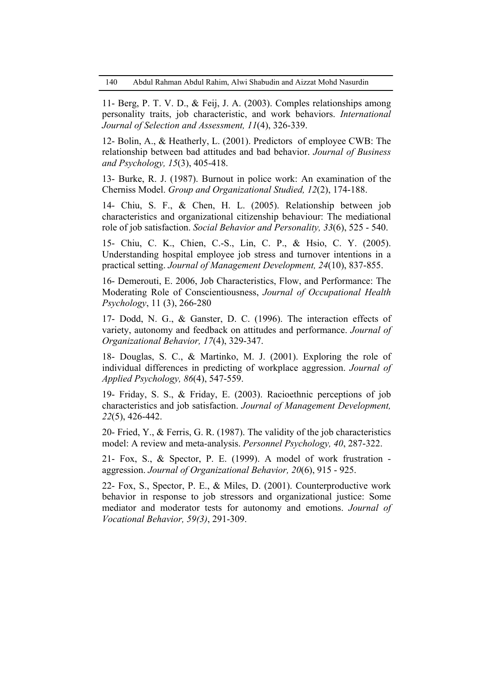11- Berg, P. T. V. D., & Feij, J. A. (2003). Comples relationships among personality traits, job characteristic, and work behaviors. *International Journal of Selection and Assessment, 11*(4), 326-339.

12- Bolin, A., & Heatherly, L. (2001). Predictors of employee CWB: The relationship between bad attitudes and bad behavior. *Journal of Business and Psychology, 15*(3), 405-418.

13- Burke, R. J. (1987). Burnout in police work: An examination of the Cherniss Model. *Group and Organizational Studied, 12*(2), 174-188.

14- Chiu, S. F., & Chen, H. L. (2005). Relationship between job characteristics and organizational citizenship behaviour: The mediational role of job satisfaction. *Social Behavior and Personality, 33*(6), 525 - 540.

15- Chiu, C. K., Chien, C.-S., Lin, C. P., & Hsio, C. Y. (2005). Understanding hospital employee job stress and turnover intentions in a practical setting. *Journal of Management Development, 24*(10), 837-855.

16- Demerouti, E. 2006, Job Characteristics, Flow, and Performance: The Moderating Role of Conscientiousness, *Journal of Occupational Health Psychology*, 11 (3), 266-280

17- Dodd, N. G., & Ganster, D. C. (1996). The interaction effects of variety, autonomy and feedback on attitudes and performance. *Journal of Organizational Behavior, 17*(4), 329-347.

18- Douglas, S. C., & Martinko, M. J. (2001). Exploring the role of individual differences in predicting of workplace aggression. *Journal of Applied Psychology, 86*(4), 547-559.

19- Friday, S. S., & Friday, E. (2003). Racioethnic perceptions of job characteristics and job satisfaction. *Journal of Management Development, 22*(5), 426-442.

20- Fried, Y., & Ferris, G. R. (1987). The validity of the job characteristics model: A review and meta-analysis. *Personnel Psychology, 40*, 287-322.

21- Fox, S., & Spector, P. E. (1999). A model of work frustration aggression. *Journal of Organizational Behavior, 20*(6), 915 - 925.

22- Fox, S., Spector, P. E., & Miles, D. (2001). Counterproductive work behavior in response to job stressors and organizational justice: Some mediator and moderator tests for autonomy and emotions. *Journal of Vocational Behavior, 59(3)*, 291-309.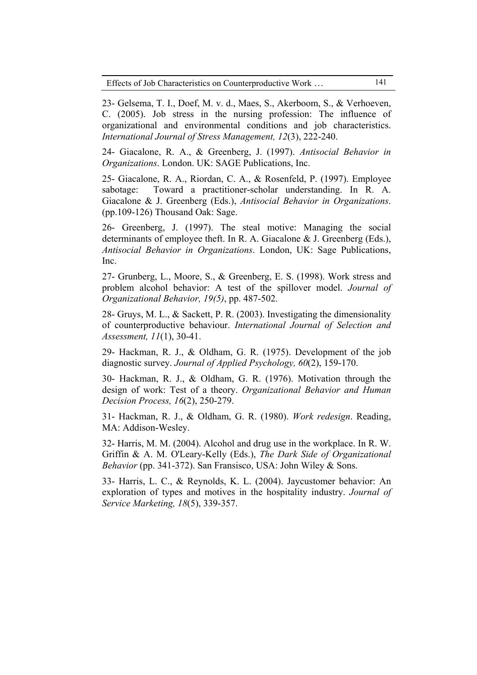Effects of Job Characteristics on Counterproductive Work … 141

23- Gelsema, T. I., Doef, M. v. d., Maes, S., Akerboom, S., & Verhoeven, C. (2005). Job stress in the nursing profession: The influence of organizational and environmental conditions and job characteristics. *International Journal of Stress Management, 12*(3), 222-240.

24- Giacalone, R. A., & Greenberg, J. (1997). *Antisocial Behavior in Organizations*. London. UK: SAGE Publications, Inc.

25- Giacalone, R. A., Riordan, C. A., & Rosenfeld, P. (1997). Employee sabotage: Toward a practitioner-scholar understanding. In R. A. Giacalone & J. Greenberg (Eds.), *Antisocial Behavior in Organizations*. (pp.109-126) Thousand Oak: Sage.

26- Greenberg, J. (1997). The steal motive: Managing the social determinants of employee theft. In R. A. Giacalone & J. Greenberg (Eds.), *Antisocial Behavior in Organizations*. London, UK: Sage Publications, Inc.

27- Grunberg, L., Moore, S., & Greenberg, E. S. (1998). Work stress and problem alcohol behavior: A test of the spillover model. *Journal of Organizational Behavior, 19(5)*, pp. 487-502.

28- Gruys, M. L., & Sackett, P. R. (2003). Investigating the dimensionality of counterproductive behaviour. *International Journal of Selection and Assessment, 11*(1), 30-41.

29- Hackman, R. J., & Oldham, G. R. (1975). Development of the job diagnostic survey. *Journal of Applied Psychology, 60*(2), 159-170.

30- Hackman, R. J., & Oldham, G. R. (1976). Motivation through the design of work: Test of a theory. *Organizational Behavior and Human Decision Process, 16*(2), 250-279.

31- Hackman, R. J., & Oldham, G. R. (1980). *Work redesign*. Reading, MA: Addison-Wesley.

32- Harris, M. M. (2004). Alcohol and drug use in the workplace. In R. W. Griffin & A. M. O'Leary-Kelly (Eds.), *The Dark Side of Organizational Behavior* (pp. 341-372). San Fransisco, USA: John Wiley & Sons.

33- Harris, L. C., & Reynolds, K. L. (2004). Jaycustomer behavior: An exploration of types and motives in the hospitality industry. *Journal of Service Marketing, 18*(5), 339-357.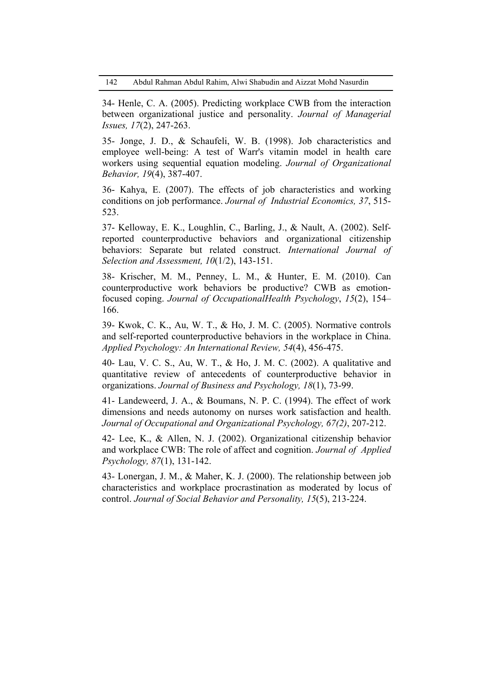34- Henle, C. A. (2005). Predicting workplace CWB from the interaction between organizational justice and personality. *Journal of Managerial Issues, 17*(2), 247-263.

35- Jonge, J. D., & Schaufeli, W. B. (1998). Job characteristics and employee well-being: A test of Warr's vitamin model in health care workers using sequential equation modeling. *Journal of Organizational Behavior, 19*(4), 387-407.

36- Kahya, E. (2007). The effects of job characteristics and working conditions on job performance. *Journal of Industrial Economics, 37*, 515- 523.

37- Kelloway, E. K., Loughlin, C., Barling, J., & Nault, A. (2002). Selfreported counterproductive behaviors and organizational citizenship behaviors: Separate but related construct. *International Journal of Selection and Assessment, 10*(1/2), 143-151.

38- Krischer, M. M., Penney, L. M., & Hunter, E. M. (2010). Can counterproductive work behaviors be productive? CWB as emotionfocused coping. *Journal of OccupationalHealth Psychology*, *15*(2), 154– 166.

39- Kwok, C. K., Au, W. T., & Ho, J. M. C. (2005). Normative controls and self-reported counterproductive behaviors in the workplace in China. *Applied Psychology: An International Review, 54*(4), 456-475.

40- Lau, V. C. S., Au, W. T., & Ho, J. M. C. (2002). A qualitative and quantitative review of antecedents of counterproductive behavior in organizations. *Journal of Business and Psychology, 18*(1), 73-99.

41- Landeweerd, J. A., & Boumans, N. P. C. (1994). The effect of work dimensions and needs autonomy on nurses work satisfaction and health. *Journal of Occupational and Organizational Psychology, 67(2)*, 207-212.

42- Lee, K., & Allen, N. J. (2002). Organizational citizenship behavior and workplace CWB: The role of affect and cognition. *Journal of Applied Psychology, 87*(1), 131-142.

43- Lonergan, J. M., & Maher, K. J. (2000). The relationship between job characteristics and workplace procrastination as moderated by locus of control. *Journal of Social Behavior and Personality, 15*(5), 213-224.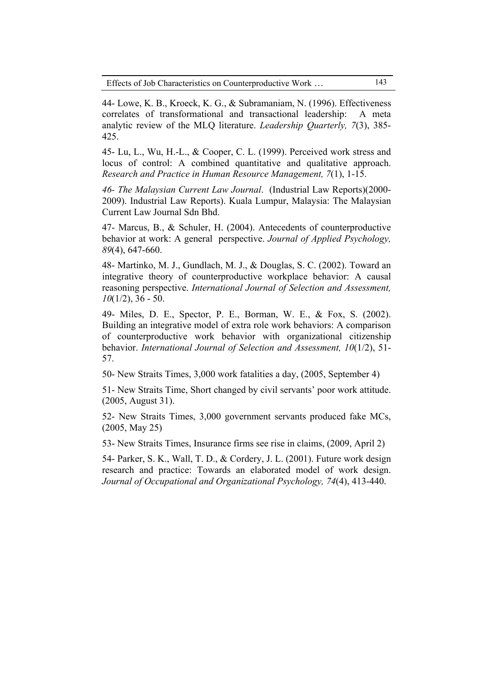| Effects of Job Characteristics on Counterproductive Work | 143. |
|----------------------------------------------------------|------|
|                                                          |      |

44- Lowe, K. B., Kroeck, K. G., & Subramaniam, N. (1996). Effectiveness correlates of transformational and transactional leadership: A meta analytic review of the MLQ literature. *Leadership Quarterly, 7*(3), 385- 425.

45- Lu, L., Wu, H.-L., & Cooper, C. L. (1999). Perceived work stress and locus of control: A combined quantitative and qualitative approach. *Research and Practice in Human Resource Management, 7*(1), 1-15.

*46- The Malaysian Current Law Journal*. (Industrial Law Reports)(2000- 2009). Industrial Law Reports). Kuala Lumpur, Malaysia: The Malaysian Current Law Journal Sdn Bhd.

47- Marcus, B., & Schuler, H. (2004). Antecedents of counterproductive behavior at work: A general perspective. *Journal of Applied Psychology, 89*(4), 647-660.

48- Martinko, M. J., Gundlach, M. J., & Douglas, S. C. (2002). Toward an integrative theory of counterproductive workplace behavior: A causal reasoning perspective. *International Journal of Selection and Assessment, 10*(1/2), 36 - 50.

49- Miles, D. E., Spector, P. E., Borman, W. E., & Fox, S. (2002). Building an integrative model of extra role work behaviors: A comparison of counterproductive work behavior with organizational citizenship behavior. *International Journal of Selection and Assessment, 10*(1/2), 51- 57.

50- New Straits Times, 3,000 work fatalities a day, (2005, September 4)

51- New Straits Time, Short changed by civil servants' poor work attitude. (2005, August 31).

52- New Straits Times, 3,000 government servants produced fake MCs, (2005, May 25)

53- New Straits Times, Insurance firms see rise in claims, (2009, April 2)

54- Parker, S. K., Wall, T. D., & Cordery, J. L. (2001). Future work design research and practice: Towards an elaborated model of work design. *Journal of Occupational and Organizational Psychology, 74*(4), 413-440.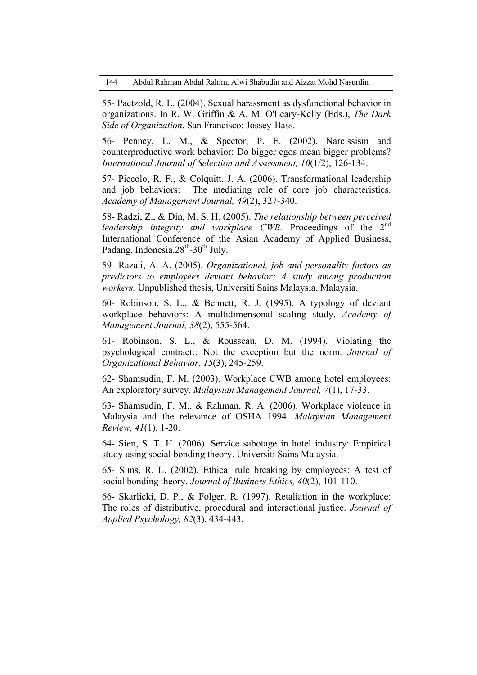55- Paetzold, R. L. (2004). Sexual harassment as dysfunctional behavior in organizations. In R. W. Griffin & A. M. O'Leary-Kelly (Eds.), *The Dark Side of Organization*. San Francisco: Jossey-Bass.

56- Penney, L. M., & Spector, P. E. (2002). Narcissism and counterproductive work behavior: Do bigger egos mean bigger problems? *International Journal of Selection and Assessment, 10*(1/2), 126-134.

57- Piccolo, R. F., & Colquitt, J. A. (2006). Transformational leadership and job behaviors: The mediating role of core job characteristics. *Academy of Management Journal, 49*(2), 327-340.

58- Radzi, Z., & Din, M. S. H. (2005). *The relationship between perceived leadership integrity and workplace CWB*. Proceedings of the 2<sup>nd</sup> International Conference of the Asian Academy of Applied Business, Padang, Indonesia.28<sup>th</sup>-30<sup>th</sup> July.

59- Razali, A. A. (2005). *Organizational, job and personality factors as predictors to employees deviant behavior: A study among production workers.* Unpublished thesis, Universiti Sains Malaysia, Malaysia.

60- Robinson, S. L., & Bennett, R. J. (1995). A typology of deviant workplace behaviors: A multidimensonal scaling study. *Academy of Management Journal, 38*(2), 555-564.

61- Robinson, S. L., & Rousseau, D. M. (1994). Violating the psychological contract:: Not the exception but the norm. *Journal of Organizational Behavior, 15*(3), 245-259.

62- Shamsudin, F. M. (2003). Workplace CWB among hotel employees: An exploratory survey. *Malaysian Management Journal, 7*(1), 17-33.

63- Shamsudin, F. M., & Rahman, R. A. (2006). Workplace violence in Malaysia and the relevance of OSHA 1994. *Malaysian Management Review, 41*(1), 1-20.

64- Sien, S. T. H. (2006). Service sabotage in hotel industry: Empirical study using social bonding theory. Universiti Sains Malaysia.

65- Sims, R. L. (2002). Ethical rule breaking by employees: A test of social bonding theory. *Journal of Business Ethics, 40*(2), 101-110.

66- Skarlicki, D. P., & Folger, R. (1997). Retaliation in the workplace: The roles of distributive, procedural and interactional justice. *Journal of Applied Psychology, 82*(3), 434-443.